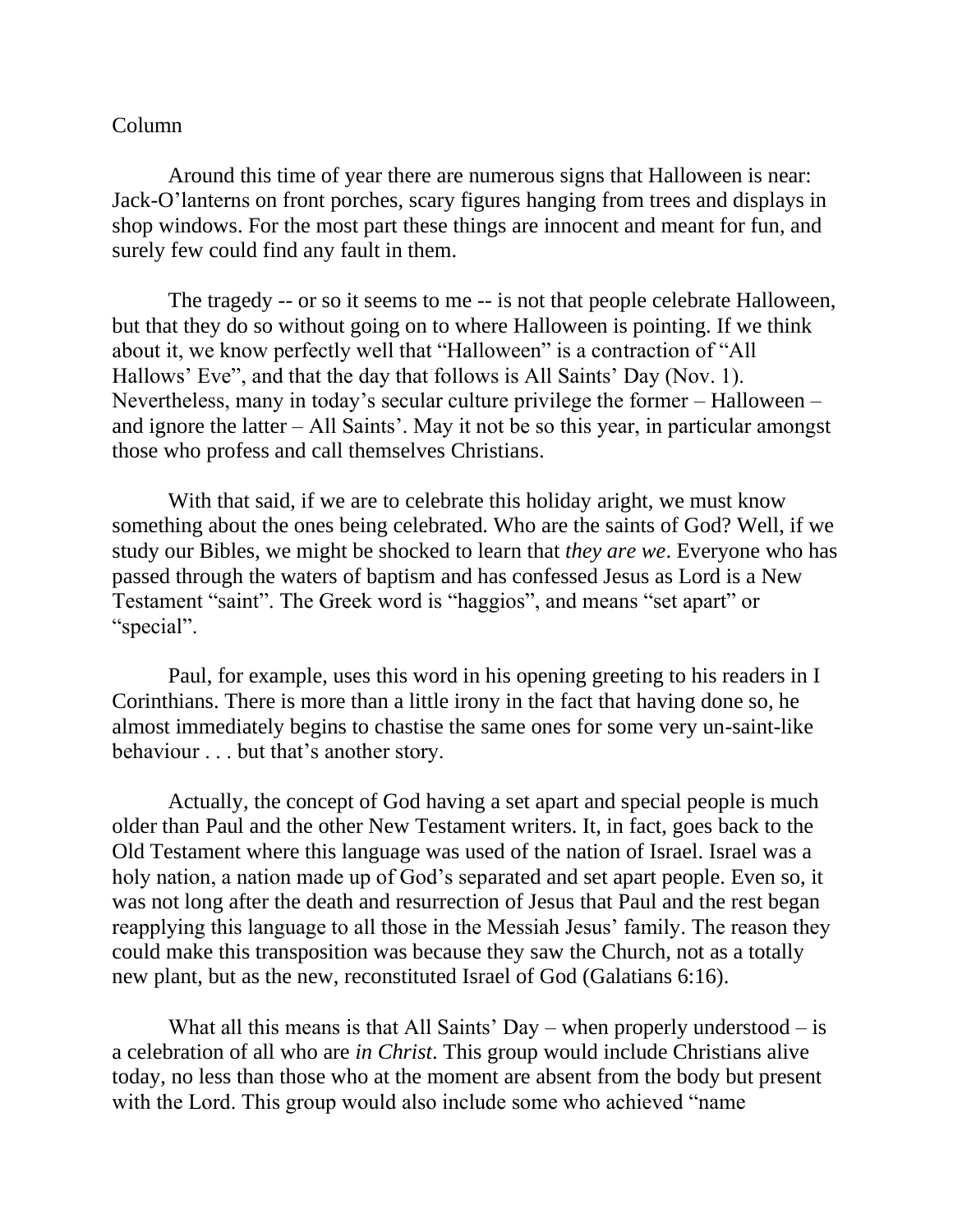## Column

Around this time of year there are numerous signs that Halloween is near: Jack-O'lanterns on front porches, scary figures hanging from trees and displays in shop windows. For the most part these things are innocent and meant for fun, and surely few could find any fault in them.

The tragedy -- or so it seems to me -- is not that people celebrate Halloween, but that they do so without going on to where Halloween is pointing. If we think about it, we know perfectly well that "Halloween" is a contraction of "All Hallows' Eve", and that the day that follows is All Saints' Day (Nov. 1). Nevertheless, many in today's secular culture privilege the former – Halloween – and ignore the latter – All Saints'. May it not be so this year, in particular amongst those who profess and call themselves Christians.

With that said, if we are to celebrate this holiday aright, we must know something about the ones being celebrated. Who are the saints of God? Well, if we study our Bibles, we might be shocked to learn that *they are we*. Everyone who has passed through the waters of baptism and has confessed Jesus as Lord is a New Testament "saint". The Greek word is "haggios", and means "set apart" or "special".

Paul, for example, uses this word in his opening greeting to his readers in I Corinthians. There is more than a little irony in the fact that having done so, he almost immediately begins to chastise the same ones for some very un-saint-like behaviour . . . but that's another story.

Actually, the concept of God having a set apart and special people is much older than Paul and the other New Testament writers. It, in fact, goes back to the Old Testament where this language was used of the nation of Israel. Israel was a holy nation, a nation made up of God's separated and set apart people. Even so, it was not long after the death and resurrection of Jesus that Paul and the rest began reapplying this language to all those in the Messiah Jesus' family. The reason they could make this transposition was because they saw the Church, not as a totally new plant, but as the new, reconstituted Israel of God (Galatians 6:16).

What all this means is that All Saints' Day – when properly understood – is a celebration of all who are *in Christ*. This group would include Christians alive today, no less than those who at the moment are absent from the body but present with the Lord. This group would also include some who achieved "name